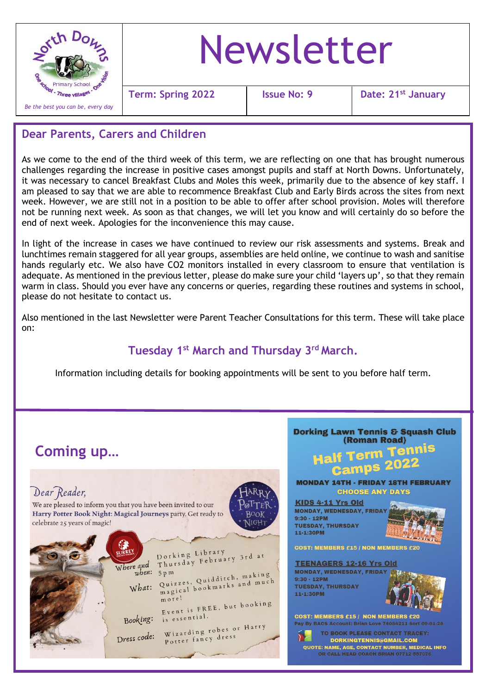

#### **Dear Parents, Carers and Children**

As we come to the end of the third week of this term, we are reflecting on one that has brought numerous challenges regarding the increase in positive cases amongst pupils and staff at North Downs. Unfortunately, it was necessary to cancel Breakfast Clubs and Moles this week, primarily due to the absence of key staff. I am pleased to say that we are able to recommence Breakfast Club and Early Birds across the sites from next week. However, we are still not in a position to be able to offer after school provision. Moles will therefore not be running next week. As soon as that changes, we will let you know and will certainly do so before the end of next week. Apologies for the inconvenience this may cause.

In light of the increase in cases we have continued to review our risk assessments and systems. Break and lunchtimes remain staggered for all year groups, assemblies are held online, we continue to wash and sanitise hands regularly etc. We also have CO2 monitors installed in every classroom to ensure that ventilation is adequate. As mentioned in the previous letter, please do make sure your child 'layers up', so that they remain warm in class. Should you ever have any concerns or queries, regarding these routines and systems in school, please do not hesitate to contact us.

Also mentioned in the last Newsletter were Parent Teacher Consultations for this term. These will take place on:

## **Tuesday 1st March and Thursday 3rd March.**

Information including details for booking appointments will be sent to you before half term.

# **Coming up…**

### Dear Reader,

We are pleased to inform you that you have been invited to our Harry Potter Book Night: Magical Journeys party. Get ready to celebrate 25 years of magic!







OR CALL HEAD COACH BRIAN 07712 557076